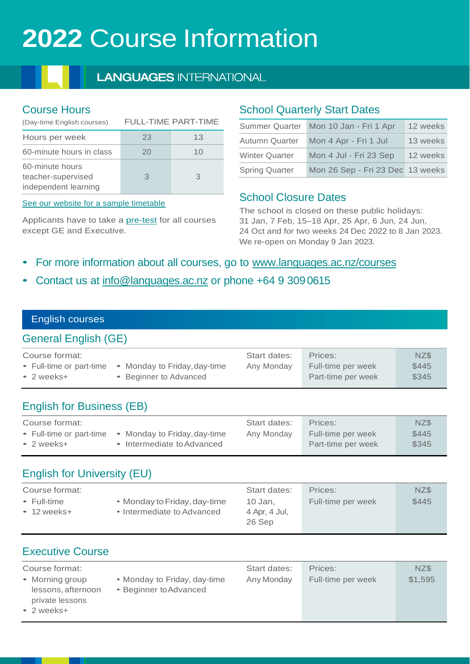# **2022** Course Information

## **LANGUAGES INTERNATIONAL**

## Course Hours

| (Day-time English courses)                                    | <b>FULL-TIME PART-TIME</b> |    |  |
|---------------------------------------------------------------|----------------------------|----|--|
| Hours per week                                                | 23                         | 13 |  |
| 60-minute hours in class                                      | 20                         | 10 |  |
| 60-minute hours<br>teacher-supervised<br>independent learning | З                          | 3  |  |

[See our website for a sample timetable](https://www.languages.ac.nz/courses/sample-timetable/)

Applicants have to take a [pre-test](https://www.languages.ac.nz/courses/test-your-english/) for all courses except GE and Executive.

## School Quarterly Start Dates

| <b>Summer Quarter</b> | Mon 10 Jan - Fri 1 Apr           | 12 weeks |
|-----------------------|----------------------------------|----------|
| Autumn Quarter        | Mon 4 Apr - Fri 1 Jul            | 13 weeks |
| <b>Winter Quarter</b> | Mon 4 Jul - Fri 23 Sep           | 12 weeks |
| <b>Spring Quarter</b> | Mon 26 Sep - Fri 23 Dec 13 weeks |          |

## School Closure Dates

The school is closed on these public holidays: 31 Jan, 7 Feb, 15–18 Apr, 25 Apr, 6 Jun, 24 Jun, 24 Oct and for two weeks 24 Dec 2022 to 8 Jan 2023. We re-open on Monday 9 Jan 2023.

- For more information about all courses, go to [www.languages.ac.nz/courses](http://www.languages.ac.nz/courses)
- Contact us at [info@languages.ac.nz](mailto:info@languages.ac.nz) or phone +64 9 3090615

#### English courses

## [General English \(GE\)](http://www.languages.ac.nz/GeneralEnglish)

| Course format:           |                              | Start dates: | Prices:            | NZ\$  |
|--------------------------|------------------------------|--------------|--------------------|-------|
| • Full-time or part-time | • Monday to Friday, day-time | Any Monday   | Full-time per week | \$445 |
| $\bullet$ 2 weeks+       | • Beginner to Advanced       |              | Part-time per week | \$345 |

## [English for Business \(EB\)](http://www.languages.ac.nz/EnglishForBusiness)

| Course format:           |                            | Start dates: | Prices:            | NZ\$  |
|--------------------------|----------------------------|--------------|--------------------|-------|
| • Full-time or part-time | Monday to Friday, day-time | Any Monday   | Full-time per week | \$445 |
| $\bullet$ 2 weeks+       | • Intermediate to Advanced |              | Part-time per week | \$345 |

# [English for University \(EU\)](http://www.languages.ac.nz/EnglishForUniversity)

| Course format:                     |                                                            | Start dates:                       | Prices:            | NZ\$  |
|------------------------------------|------------------------------------------------------------|------------------------------------|--------------------|-------|
| • Full-time<br>$\bullet$ 12 weeks+ | • Monday to Friday, day-time<br>• Intermediate to Advanced | 10 Jan.<br>4 Apr, 4 Jul,<br>26 Sep | Full-time per week | \$445 |

## [Executive Course](http://www.languages.ac.nz/ExecutiveCourse)

| Course format:                      |                                       |                                                        | Start dates: | Prices:            | NZ\$    |
|-------------------------------------|---------------------------------------|--------------------------------------------------------|--------------|--------------------|---------|
| • Morning group<br>$\cdot$ 2 weeks+ | lessons, afternoon<br>private lessons | • Monday to Friday, day-time<br>• Beginner to Advanced | Any Monday   | Full-time per week | \$1,595 |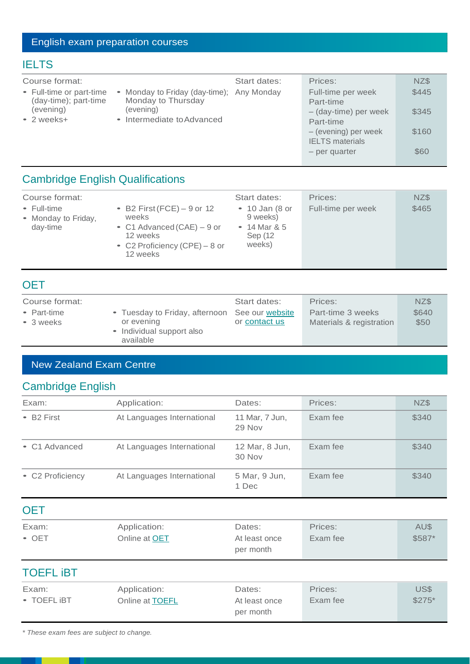# English exam preparation courses

## **[IELTS](http://www.languages.ac.nz/IELTS)**

| Course format:                                    |                                                                 | Start dates: | Prices:                                        | NZ\$  |
|---------------------------------------------------|-----------------------------------------------------------------|--------------|------------------------------------------------|-------|
| • Full-time or part-time<br>(day-time); part-time | • Monday to Friday (day-time); Any Monday<br>Monday to Thursday |              | Full-time per week<br>Part-time                | \$445 |
| (evening)<br>• 2 weeks+                           | (evening)<br>• Intermediate to Advanced                         |              | - (day-time) per week<br>Part-time             | \$345 |
|                                                   |                                                                 |              | - (evening) per week<br><b>IELTS</b> materials | \$160 |
|                                                   |                                                                 |              | – per quarter                                  | \$60  |

# [Cambridge English Qualifications](http://www.languages.ac.nz/CambridgeExams)

| Course format:                                 |                                                                                                                               | Start dates:                                                               | Prices:            | NZ\$  |
|------------------------------------------------|-------------------------------------------------------------------------------------------------------------------------------|----------------------------------------------------------------------------|--------------------|-------|
| • Full-time<br>• Monday to Friday,<br>day-time | • B2 First (FCE) $-9$ or 12<br>weeks<br>• C1 Advanced $(CAE) - 9$ or<br>12 weeks<br>• C2 Proficiency (CPE) – 8 or<br>12 weeks | $\bullet$ 10 Jan (8 or<br>9 weeks)<br>• 14 Mar $8.5$<br>Sep (12)<br>weeks) | Full-time per week | \$465 |

## **[OET](http://literacyprofessionals.co.nz/services/occupational-english-test/)**

| Course format:    |                                                | Start dates:  | Prices:                  | NZ\$  |
|-------------------|------------------------------------------------|---------------|--------------------------|-------|
| • Part-time       | • Tuesday to Friday, afternoon See our website |               | Part-time 3 weeks        | \$640 |
| $\bullet$ 3 weeks | or evening                                     | or contact us | Materials & registration | \$50  |
|                   | • Individual support also<br>available         |               |                          |       |

## New Zealand Exam Centre

# Cambridge English

| Exam:                    | Application:               | Dates:                   | Prices:  | NZ\$  |
|--------------------------|----------------------------|--------------------------|----------|-------|
| $-$ B <sub>2</sub> First | At Languages International | 11 Mar, 7 Jun,<br>29 Nov | Exam fee | \$340 |
| • C1 Advanced            | At Languages International | 12 Mar, 8 Jun,<br>30 Nov | Exam fee | \$340 |
| • C2 Proficiency         | At Languages International | 5 Mar, 9 Jun,<br>1 Dec   | Exam fee | \$340 |
|                          |                            |                          |          |       |

| Exam:         | Application:         | Dates:        | Prices:  | AU\$    |
|---------------|----------------------|---------------|----------|---------|
| $\bullet$ OET | Online at <b>OET</b> | At least once | Exam fee | $$587*$ |
|               |                      | per month     |          |         |

## [TOEFL iBT](https://www.ets.org/toefl)

| Exam:               | Application:           | Dates:        | Prices:  | US\$     |
|---------------------|------------------------|---------------|----------|----------|
| $\bullet$ TOEFL IBT | Online at <b>TOEFL</b> | At least once | Exam fee | $$275^*$ |
|                     |                        | per month     |          |          |

*\* These exam fees are subject to change.*